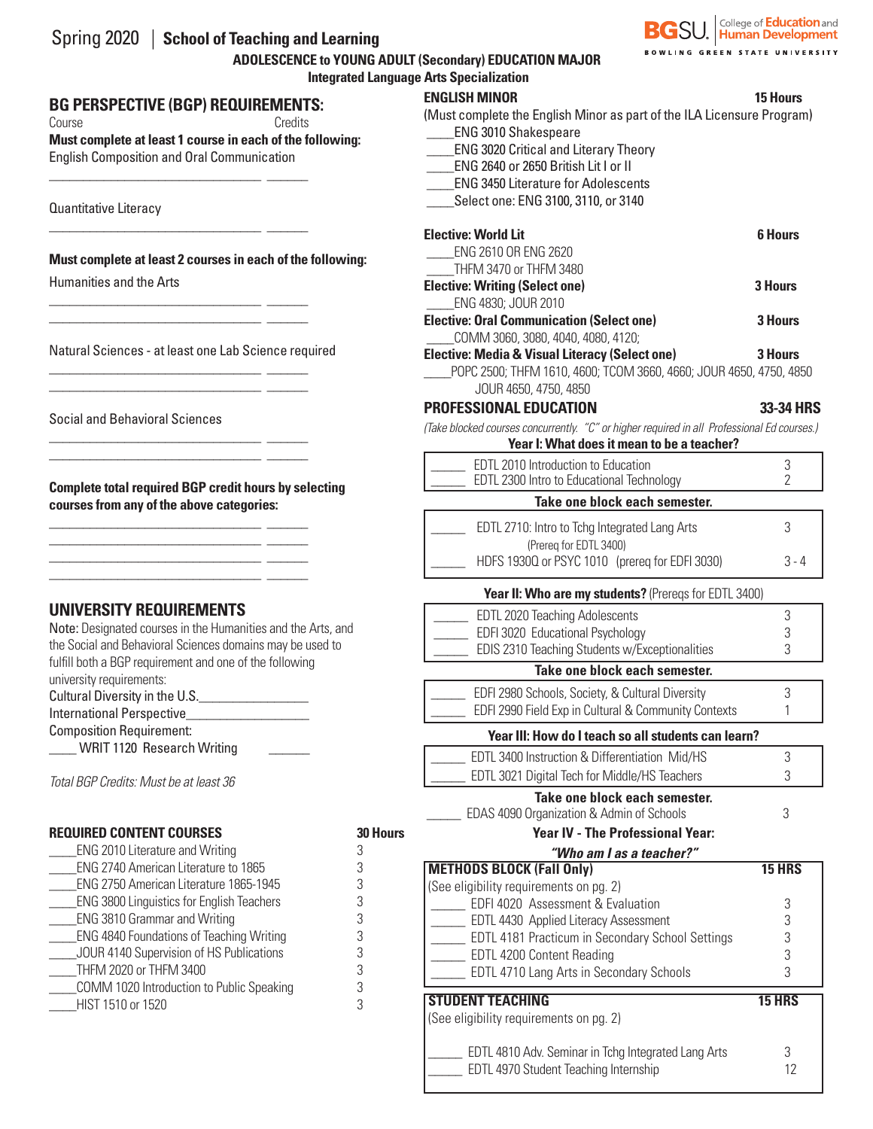| Spring 2020   School of Teaching and Learning          |
|--------------------------------------------------------|
| ADOLESCENCE to YOUNG ADULT (Secondary) EDUCATION MAJOR |
| <b>Integrated Language Arts Specialization</b>         |

### **BG PERSPECTIVE (BGP) REQUIREMENTS:**

\_\_\_\_\_\_\_\_\_\_\_\_\_\_\_\_\_\_\_\_\_\_\_\_\_\_\_\_\_\_\_ \_\_\_\_\_\_

\_\_\_\_\_\_\_\_\_\_\_\_\_\_\_\_\_\_\_\_\_\_\_\_\_\_\_\_\_\_\_ \_\_\_\_\_\_

\_\_\_\_\_\_\_\_\_\_\_\_\_\_\_\_\_\_\_\_\_\_\_\_\_\_\_\_\_\_\_ \_\_\_\_\_\_ \_\_\_\_\_\_\_\_\_\_\_\_\_\_\_\_\_\_\_\_\_\_\_\_\_\_\_\_\_\_\_ \_\_\_\_\_\_

\_\_\_\_\_\_\_\_\_\_\_\_\_\_\_\_\_\_\_\_\_\_\_\_\_\_\_\_\_\_\_ \_\_\_\_\_\_ \_\_\_\_\_\_\_\_\_\_\_\_\_\_\_\_\_\_\_\_\_\_\_\_\_\_\_\_\_\_\_ \_\_\_\_\_\_

\_\_\_\_\_\_\_\_\_\_\_\_\_\_\_\_\_\_\_\_\_\_\_\_\_\_\_\_\_\_\_ \_\_\_\_\_\_ \_\_\_\_\_\_\_\_\_\_\_\_\_\_\_\_\_\_\_\_\_\_\_\_\_\_\_\_\_\_\_ \_\_\_\_\_\_

\_\_\_\_\_\_\_\_\_\_\_\_\_\_\_\_\_\_\_\_\_\_\_\_\_\_\_\_\_\_\_ \_\_\_\_\_\_  $\mathcal{L}_\text{max}$  , and the set of the set of the set of the set of the set of the set of the set of the set of the set of \_\_\_\_\_\_\_\_\_\_\_\_\_\_\_\_\_\_\_\_\_\_\_\_\_\_\_\_\_\_\_ \_\_\_\_\_\_  $\frac{1}{\sqrt{2}}$  ,  $\frac{1}{\sqrt{2}}$  ,  $\frac{1}{\sqrt{2}}$  ,  $\frac{1}{\sqrt{2}}$  ,  $\frac{1}{\sqrt{2}}$  ,  $\frac{1}{\sqrt{2}}$  ,  $\frac{1}{\sqrt{2}}$  ,  $\frac{1}{\sqrt{2}}$  ,  $\frac{1}{\sqrt{2}}$  ,  $\frac{1}{\sqrt{2}}$  ,  $\frac{1}{\sqrt{2}}$  ,  $\frac{1}{\sqrt{2}}$  ,  $\frac{1}{\sqrt{2}}$  ,  $\frac{1}{\sqrt{2}}$  ,  $\frac{1}{\sqrt{2}}$ 

Course Credits

**Must complete at least 1 course in each of the following:**  English Composition and Oral Communication

Quantitative Literacy

**Must complete at least 2 courses in each of the following:**

Humanities and the Arts

Natural Sciences - at least one Lab Science required

Social and Behavioral Sciences

**Complete total required BGP credit hours by selecting courses from any of the above categories:**

### **UNIVERSITY REQUIREMENTS**

Note: Designated courses in the Humanities and the Arts, and the Social and Behavioral Sciences domains may be used to fulfill both a BGP requirement and one of the following university requirements:

Cultural Diversity in the U.S.\_\_\_\_\_\_\_\_\_\_\_\_\_\_\_\_

International Perspective\_\_\_\_\_\_\_\_\_\_\_\_\_\_\_\_\_\_

Composition Requirement:

\_\_\_\_ WRIT 1120 Research Writing \_\_\_\_\_\_

*Total BGP Credits: Must be at least 36*

| <b>REQUIRED CONTENT COURSES</b> |  |  |
|---------------------------------|--|--|
|---------------------------------|--|--|

| ENG 2010 Literature and Writing                  |   |
|--------------------------------------------------|---|
|                                                  |   |
| ENG 2740 American Literature to 1865             | 3 |
| ENG 2750 American Literature 1865-1945           | 3 |
| <b>ENG 3800 Linguistics for English Teachers</b> | З |
| <b>ENG 3810 Grammar and Writing</b>              | З |
| <b>ENG 4840 Foundations of Teaching Writing</b>  | 3 |
| JOUR 4140 Supervision of HS Publications         | 3 |
| THFM 2020 or THFM 3400                           | 3 |
| COMM 1020 Introduction to Public Speaking        | 3 |
| HIST 1510 or 1520                                | 3 |

|                 | <b>BOWLING GREEN STATE UNIVERSITY</b><br><b>JNG ADULT (Secondary) EDUCATION MAJOR</b>                                                                                     |                     |  |  |  |
|-----------------|---------------------------------------------------------------------------------------------------------------------------------------------------------------------------|---------------------|--|--|--|
|                 | ed Language Arts Specialization                                                                                                                                           |                     |  |  |  |
| J:              | <b>ENGLISH MINOR</b><br>(Must complete the English Minor as part of the ILA Licensure Program)<br><b>ENG 3010 Shakespeare</b>                                             | <b>15 Hours</b>     |  |  |  |
|                 | <b>ENG 3020 Critical and Literary Theory</b><br>ENG 2640 or 2650 British Lit I or II<br><b>ENG 3450 Literature for Adolescents</b><br>Select one: ENG 3100, 3110, or 3140 |                     |  |  |  |
| ığ:             | <b>Elective: World Lit</b><br>ENG 2610 OR ENG 2620<br>THFM 3470 or THFM 3480                                                                                              | <b>6 Hours</b>      |  |  |  |
|                 | <b>Elective: Writing (Select one)</b><br>ENG 4830; JOUR 2010                                                                                                              | <b>3 Hours</b>      |  |  |  |
|                 | <b>Elective: Oral Communication (Select one)</b><br>COMM 3060, 3080, 4040, 4080, 4120;                                                                                    | 3 Hours             |  |  |  |
|                 | <b>Elective: Media &amp; Visual Literacy (Select one)</b><br>POPC 2500; THFM 1610, 4600; TCOM 3660, 4660; JOUR 4650, 4750, 4850<br>JOUR 4650, 4750, 4850                  | <b>3 Hours</b>      |  |  |  |
|                 | PROFESSIONAL EDUCATION                                                                                                                                                    | 33-34 HRS           |  |  |  |
|                 | (Take blocked courses concurrently. "C" or higher required in all Professional Ed courses.)<br>Year I: What does it mean to be a teacher?                                 |                     |  |  |  |
|                 | EDTL 2010 Introduction to Education<br>EDTL 2300 Intro to Educational Technology                                                                                          | 3<br>$\overline{2}$ |  |  |  |
|                 | Take one block each semester.                                                                                                                                             |                     |  |  |  |
|                 | EDTL 2710: Intro to Tchg Integrated Lang Arts<br>(Prereq for EDTL 3400)                                                                                                   | 3                   |  |  |  |
|                 | HDFS 1930Q or PSYC 1010 (prereq for EDFI 3030)                                                                                                                            | $3 - 4$             |  |  |  |
|                 | <b>Year II: Who are my students?</b> (Prereqs for EDTL 3400)                                                                                                              |                     |  |  |  |
|                 | EDTL 2020 Teaching Adolescents                                                                                                                                            | 3                   |  |  |  |
|                 | EDFI 3020 Educational Psychology                                                                                                                                          | 3                   |  |  |  |
|                 | EDIS 2310 Teaching Students w/Exceptionalities                                                                                                                            | 3                   |  |  |  |
|                 | Take one block each semester.                                                                                                                                             |                     |  |  |  |
|                 | EDFI 2980 Schools, Society, & Cultural Diversity<br>EDFI 2990 Field Exp in Cultural & Community Contexts                                                                  | 3<br>1              |  |  |  |
|                 | Year III: How do I teach so all students can learn?                                                                                                                       |                     |  |  |  |
|                 | EDTL 3400 Instruction & Differentiation Mid/HS                                                                                                                            | 3                   |  |  |  |
|                 | EDTL 3021 Digital Tech for Middle/HS Teachers                                                                                                                             | 3                   |  |  |  |
|                 | Take one block each semester.<br>EDAS 4090 Organization & Admin of Schools                                                                                                | 3                   |  |  |  |
| <b>30 Hours</b> | <b>Year IV - The Professional Year:</b>                                                                                                                                   |                     |  |  |  |
| 3               | "Who am I as a teacher?"                                                                                                                                                  |                     |  |  |  |
| 3<br>3          | <b>METHODS BLOCK (Fall Only)</b><br>(See eligibility requirements on pg. 2)                                                                                               | 15 HRS              |  |  |  |
| 3               | EDFI 4020 Assessment & Evaluation                                                                                                                                         | 3                   |  |  |  |
| 3               | EDTL 4430 Applied Literacy Assessment                                                                                                                                     | 3                   |  |  |  |
| 3               | EDTL 4181 Practicum in Secondary School Settings                                                                                                                          | 3                   |  |  |  |
| 3<br>3          | EDTL 4200 Content Reading                                                                                                                                                 | 3                   |  |  |  |
| 3               | EDTL 4710 Lang Arts in Secondary Schools                                                                                                                                  | 3                   |  |  |  |
| 3               | <b>STUDENT TEACHING</b><br>(See eligibility requirements on pg. 2)                                                                                                        | <b>15 HRS</b>       |  |  |  |
|                 | EDTL 4810 Adv. Seminar in Tchg Integrated Lang Arts<br>EDTL 4970 Student Teaching Internship                                                                              | 3<br>12             |  |  |  |

**BG**SU. Human Development